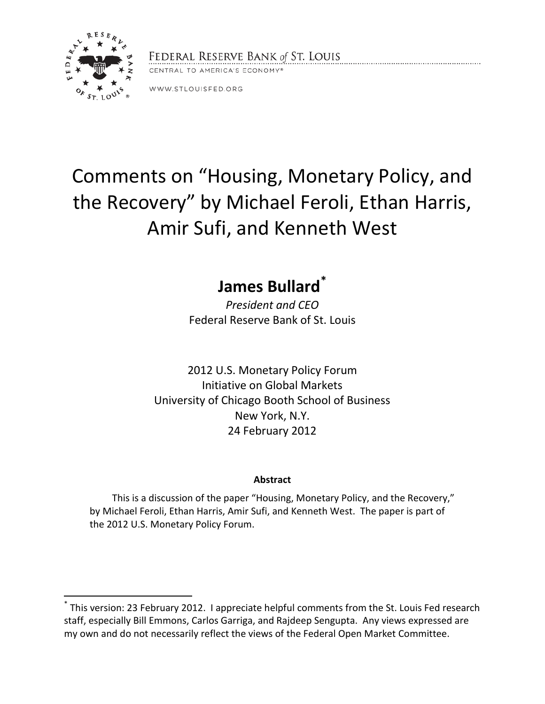

CENTRAL TO AMERICA'S ECONOMY®

WWW.STLOUISFED.ORG

# Comments on "Housing, Monetary Policy, and the Recovery" by Michael Feroli, Ethan Harris, Amir Sufi, and Kenneth West

## **James Bullard[\\*](#page-0-0)**

*President and CEO* Federal Reserve Bank of St. Louis

2012 U.S. Monetary Policy Forum Initiative on Global Markets University of Chicago Booth School of Business New York, N.Y. 24 February 2012

#### **Abstract**

This is a discussion of the paper "Housing, Monetary Policy, and the Recovery," by Michael Feroli, Ethan Harris, Amir Sufi, and Kenneth West. The paper is part of the 2012 U.S. Monetary Policy Forum.

<span id="page-0-0"></span>This version: 23 February 2012. I appreciate helpful comments from the St. Louis Fed research staff, especially Bill Emmons, Carlos Garriga, and Rajdeep Sengupta. Any views expressed are my own and do not necessarily reflect the views of the Federal Open Market Committee.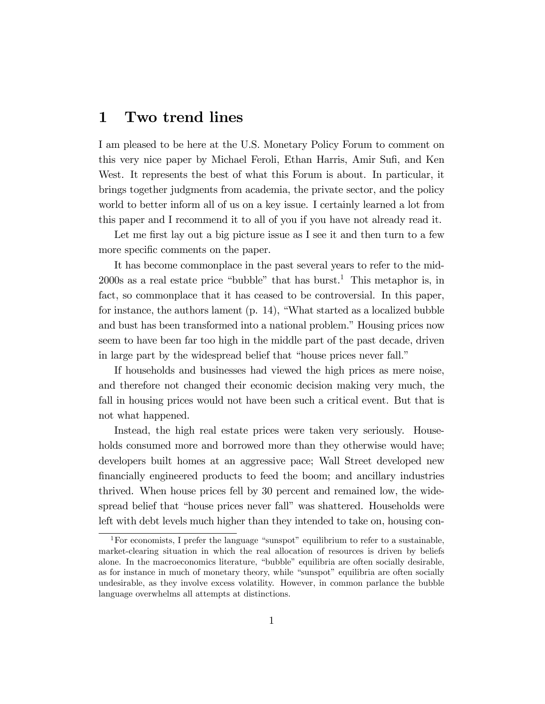#### 1 Two trend lines

I am pleased to be here at the U.S. Monetary Policy Forum to comment on this very nice paper by Michael Feroli, Ethan Harris, Amir Sufi, and Ken West. It represents the best of what this Forum is about. In particular, it brings together judgments from academia, the private sector, and the policy world to better inform all of us on a key issue. I certainly learned a lot from this paper and I recommend it to all of you if you have not already read it.

Let me first lay out a big picture issue as I see it and then turn to a few more specific comments on the paper.

It has become commonplace in the past several years to refer to the mid-2000s as a real estate price "bubble" that has burst.<sup>1</sup> This metaphor is, in fact, so commonplace that it has ceased to be controversial. In this paper, for instance, the authors lament  $(p, 14)$ , "What started as a localized bubble and bust has been transformed into a national problem." Housing prices now seem to have been far too high in the middle part of the past decade, driven in large part by the widespread belief that "house prices never fall."

If households and businesses had viewed the high prices as mere noise, and therefore not changed their economic decision making very much, the fall in housing prices would not have been such a critical event. But that is not what happened.

Instead, the high real estate prices were taken very seriously. Households consumed more and borrowed more than they otherwise would have; developers built homes at an aggressive pace; Wall Street developed new Önancially engineered products to feed the boom; and ancillary industries thrived. When house prices fell by 30 percent and remained low, the widespread belief that "house prices never fall" was shattered. Households were left with debt levels much higher than they intended to take on, housing con-

<sup>&</sup>lt;sup>1</sup>For economists, I prefer the language "sunspot" equilibrium to refer to a sustainable, market-clearing situation in which the real allocation of resources is driven by beliefs alone. In the macroeconomics literature, "bubble" equilibria are often socially desirable, as for instance in much of monetary theory, while "sunspot" equilibria are often socially undesirable, as they involve excess volatility. However, in common parlance the bubble language overwhelms all attempts at distinctions.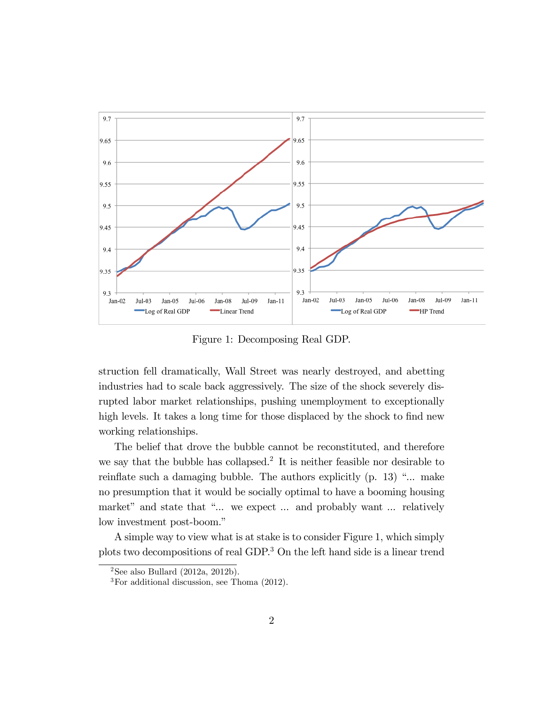

Figure 1: Decomposing Real GDP.

struction fell dramatically, Wall Street was nearly destroyed, and abetting industries had to scale back aggressively. The size of the shock severely disrupted labor market relationships, pushing unemployment to exceptionally high levels. It takes a long time for those displaced by the shock to find new working relationships.

The belief that drove the bubble cannot be reconstituted, and therefore we say that the bubble has collapsed.<sup>2</sup> It is neither feasible nor desirable to reinflate such a damaging bubble. The authors explicitly  $(p, 13)$  "... make no presumption that it would be socially optimal to have a booming housing market" and state that "... we expect ... and probably want ... relatively low investment post-boom."

A simple way to view what is at stake is to consider Figure 1, which simply plots two decompositions of real GDP.<sup>3</sup> On the left hand side is a linear trend

<sup>&</sup>lt;sup>2</sup>See also Bullard (2012a, 2012b).

<sup>3</sup>For additional discussion, see Thoma (2012).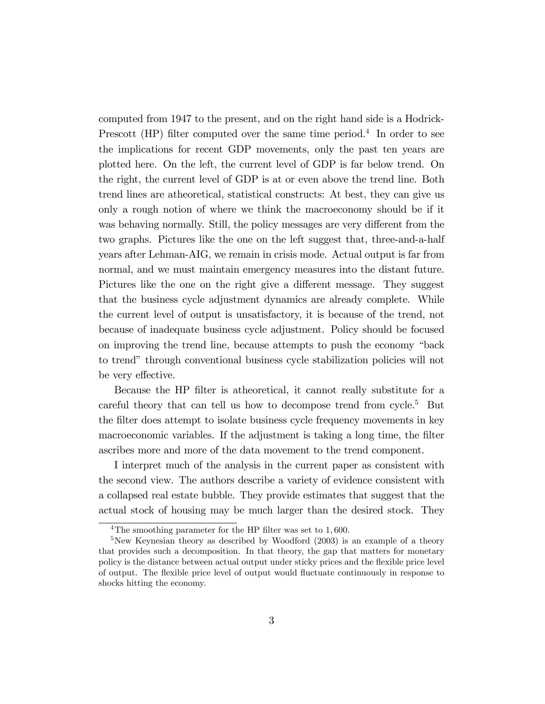computed from 1947 to the present, and on the right hand side is a Hodrick-Prescott (HP) filter computed over the same time period.<sup>4</sup> In order to see the implications for recent GDP movements, only the past ten years are plotted here. On the left, the current level of GDP is far below trend. On the right, the current level of GDP is at or even above the trend line. Both trend lines are atheoretical, statistical constructs: At best, they can give us only a rough notion of where we think the macroeconomy should be if it was behaving normally. Still, the policy messages are very different from the two graphs. Pictures like the one on the left suggest that, three-and-a-half years after Lehman-AIG, we remain in crisis mode. Actual output is far from normal, and we must maintain emergency measures into the distant future. Pictures like the one on the right give a different message. They suggest that the business cycle adjustment dynamics are already complete. While the current level of output is unsatisfactory, it is because of the trend, not because of inadequate business cycle adjustment. Policy should be focused on improving the trend line, because attempts to push the economy "back to trendî through conventional business cycle stabilization policies will not be very effective.

Because the HP filter is atheoretical, it cannot really substitute for a careful theory that can tell us how to decompose trend from cycle.<sup>5</sup> But the filter does attempt to isolate business cycle frequency movements in key macroeconomic variables. If the adjustment is taking a long time, the filter ascribes more and more of the data movement to the trend component.

I interpret much of the analysis in the current paper as consistent with the second view. The authors describe a variety of evidence consistent with a collapsed real estate bubble. They provide estimates that suggest that the actual stock of housing may be much larger than the desired stock. They

<sup>&</sup>lt;sup>4</sup>The smoothing parameter for the HP filter was set to 1,600.

<sup>&</sup>lt;sup>5</sup>New Keynesian theory as described by Woodford  $(2003)$  is an example of a theory that provides such a decomposition. In that theory, the gap that matters for monetary policy is the distance between actual output under sticky prices and the flexible price level of output. The áexible price level of output would áuctuate continuously in response to shocks hitting the economy.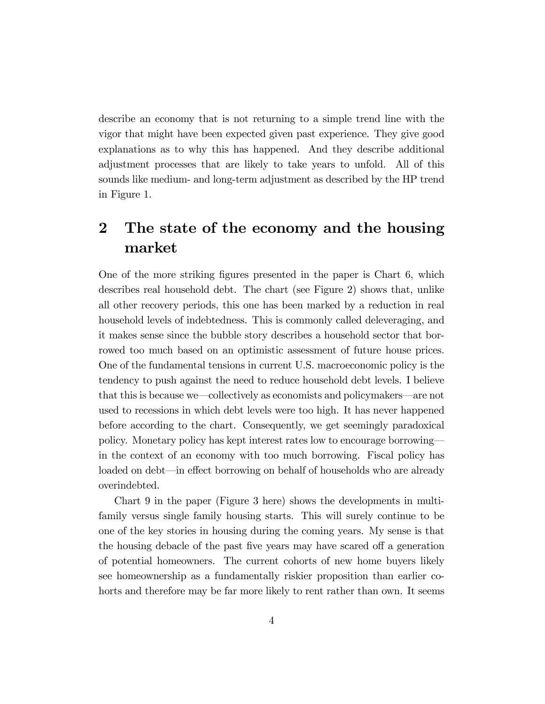describe an economy that is not returning to a simple trend line with the vigor that might have been expected given past experience. They give good explanations as to why this has happened. And they describe additional adjustment processes that are likely to take years to unfold. All of this sounds like medium- and long-term adjustment as described by the HP trend in Figure 1.

## 2 The state of the economy and the housing market

One of the more striking figures presented in the paper is Chart  $6$ , which describes real household debt. The chart (see Figure 2) shows that, unlike all other recovery periods, this one has been marked by a reduction in real household levels of indebtedness. This is commonly called deleveraging, and it makes sense since the bubble story describes a household sector that borrowed too much based on an optimistic assessment of future house prices. One of the fundamental tensions in current U.S. macroeconomic policy is the tendency to push against the need to reduce household debt levels. I believe that this is because we—collectively as economists and policymakers—are not used to recessions in which debt levels were too high. It has never happened before according to the chart. Consequently, we get seemingly paradoxical policy. Monetary policy has kept interest rates low to encourage borrowing in the context of an economy with too much borrowing. Fiscal policy has loaded on debt—in effect borrowing on behalf of households who are already overindebted.

Chart 9 in the paper (Figure 3 here) shows the developments in multifamily versus single family housing starts. This will surely continue to be one of the key stories in housing during the coming years. My sense is that the housing debacle of the past five years may have scared off a generation of potential homeowners. The current cohorts of new home buyers likely see homeownership as a fundamentally riskier proposition than earlier cohorts and therefore may be far more likely to rent rather than own. It seems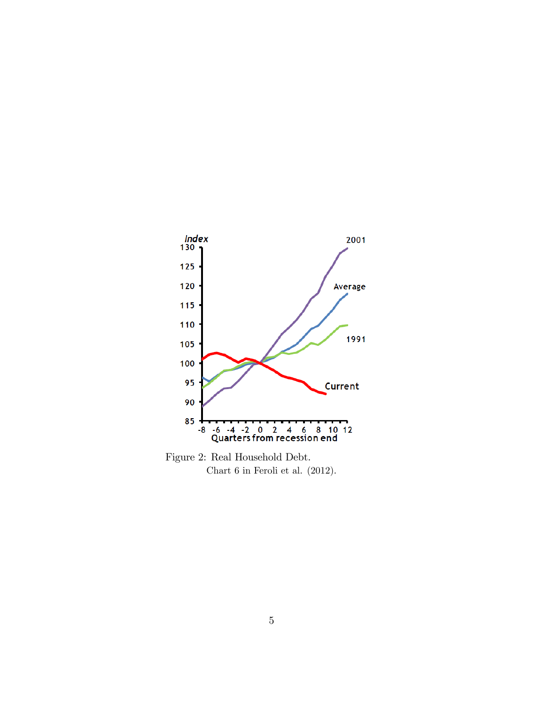

Figure 2: Real Household Debt. Chart 6 in Feroli et al. (2012).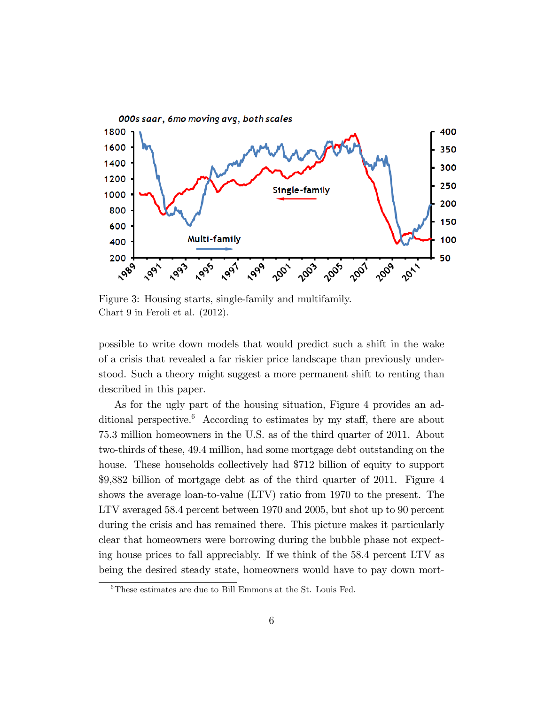

Figure 3: Housing starts, single-family and multifamily. Chart 9 in Feroli et al. (2012).

possible to write down models that would predict such a shift in the wake of a crisis that revealed a far riskier price landscape than previously understood. Such a theory might suggest a more permanent shift to renting than described in this paper.

As for the ugly part of the housing situation, Figure 4 provides an additional perspective.<sup>6</sup> According to estimates by my staff, there are about 75.3 million homeowners in the U.S. as of the third quarter of 2011. About two-thirds of these, 49.4 million, had some mortgage debt outstanding on the house. These households collectively had \$712 billion of equity to support \$9,882 billion of mortgage debt as of the third quarter of 2011. Figure 4 shows the average loan-to-value (LTV) ratio from 1970 to the present. The LTV averaged 58.4 percent between 1970 and 2005, but shot up to 90 percent during the crisis and has remained there. This picture makes it particularly clear that homeowners were borrowing during the bubble phase not expecting house prices to fall appreciably. If we think of the 58.4 percent LTV as being the desired steady state, homeowners would have to pay down mort-

<sup>6</sup>These estimates are due to Bill Emmons at the St. Louis Fed.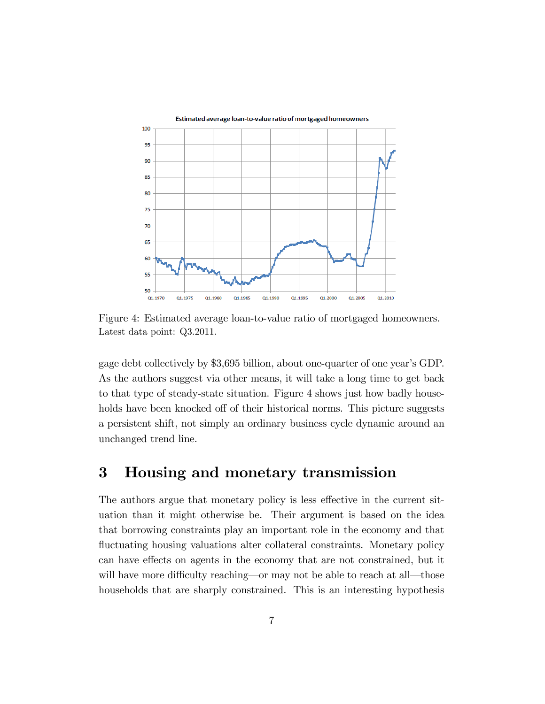

Figure 4: Estimated average loan-to-value ratio of mortgaged homeowners. Latest data point: Q3.2011.

gage debt collectively by \$3,695 billion, about one-quarter of one yearís GDP. As the authors suggest via other means, it will take a long time to get back to that type of steady-state situation. Figure 4 shows just how badly households have been knocked off of their historical norms. This picture suggests a persistent shift, not simply an ordinary business cycle dynamic around an unchanged trend line.

## 3 Housing and monetary transmission

The authors argue that monetary policy is less effective in the current situation than it might otherwise be. Their argument is based on the idea that borrowing constraints play an important role in the economy and that fluctuating housing valuations alter collateral constraints. Monetary policy can have effects on agents in the economy that are not constrained, but it will have more difficulty reaching—or may not be able to reach at all—those households that are sharply constrained. This is an interesting hypothesis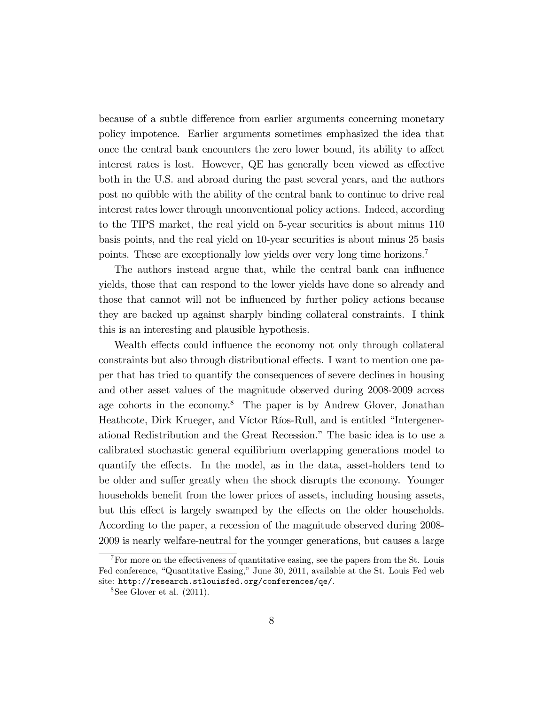because of a subtle difference from earlier arguments concerning monetary policy impotence. Earlier arguments sometimes emphasized the idea that once the central bank encounters the zero lower bound, its ability to affect interest rates is lost. However, QE has generally been viewed as effective both in the U.S. and abroad during the past several years, and the authors post no quibble with the ability of the central bank to continue to drive real interest rates lower through unconventional policy actions. Indeed, according to the TIPS market, the real yield on 5-year securities is about minus 110 basis points, and the real yield on 10-year securities is about minus 25 basis points. These are exceptionally low yields over very long time horizons.<sup>7</sup>

The authors instead argue that, while the central bank can influence yields, those that can respond to the lower yields have done so already and those that cannot will not be influenced by further policy actions because they are backed up against sharply binding collateral constraints. I think this is an interesting and plausible hypothesis.

Wealth effects could influence the economy not only through collateral constraints but also through distributional effects. I want to mention one paper that has tried to quantify the consequences of severe declines in housing and other asset values of the magnitude observed during 2008-2009 across age cohorts in the economy.<sup>8</sup> The paper is by Andrew Glover, Jonathan Heathcote, Dirk Krueger, and Víctor Ríos-Rull, and is entitled "Intergenerational Redistribution and the Great Recession." The basic idea is to use a calibrated stochastic general equilibrium overlapping generations model to quantify the effects. In the model, as in the data, asset-holders tend to be older and suffer greatly when the shock disrupts the economy. Younger households benefit from the lower prices of assets, including housing assets, but this effect is largely swamped by the effects on the older households. According to the paper, a recession of the magnitude observed during 2008- 2009 is nearly welfare-neutral for the younger generations, but causes a large

 $7\,\mathrm{For}$  more on the effectiveness of quantitative easing, see the papers from the St. Louis Fed conference, "Quantitative Easing," June 30, 2011, available at the St. Louis Fed web site: http://research.stlouisfed.org/conferences/qe/.

 $8$ See Glover et al.  $(2011)$ .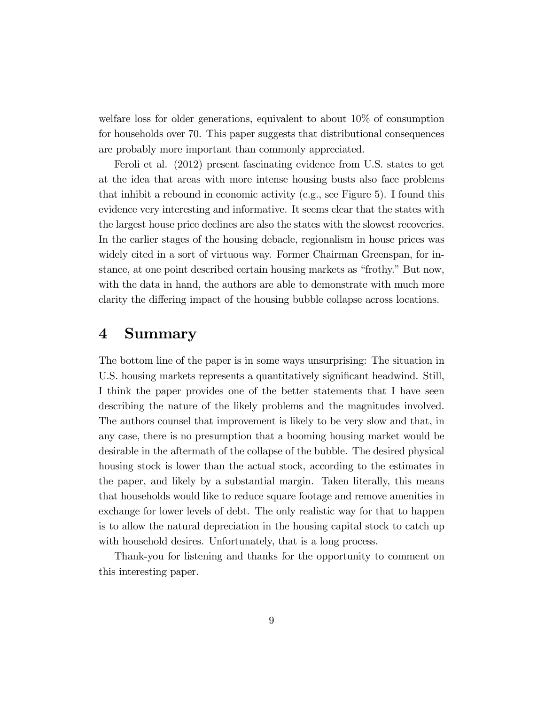welfare loss for older generations, equivalent to about 10% of consumption for households over 70. This paper suggests that distributional consequences are probably more important than commonly appreciated.

Feroli et al. (2012) present fascinating evidence from U.S. states to get at the idea that areas with more intense housing busts also face problems that inhibit a rebound in economic activity (e.g., see Figure 5). I found this evidence very interesting and informative. It seems clear that the states with the largest house price declines are also the states with the slowest recoveries. In the earlier stages of the housing debacle, regionalism in house prices was widely cited in a sort of virtuous way. Former Chairman Greenspan, for instance, at one point described certain housing markets as "frothy." But now, with the data in hand, the authors are able to demonstrate with much more clarity the differing impact of the housing bubble collapse across locations.

### 4 Summary

The bottom line of the paper is in some ways unsurprising: The situation in U.S. housing markets represents a quantitatively significant headwind. Still, I think the paper provides one of the better statements that I have seen describing the nature of the likely problems and the magnitudes involved. The authors counsel that improvement is likely to be very slow and that, in any case, there is no presumption that a booming housing market would be desirable in the aftermath of the collapse of the bubble. The desired physical housing stock is lower than the actual stock, according to the estimates in the paper, and likely by a substantial margin. Taken literally, this means that households would like to reduce square footage and remove amenities in exchange for lower levels of debt. The only realistic way for that to happen is to allow the natural depreciation in the housing capital stock to catch up with household desires. Unfortunately, that is a long process.

Thank-you for listening and thanks for the opportunity to comment on this interesting paper.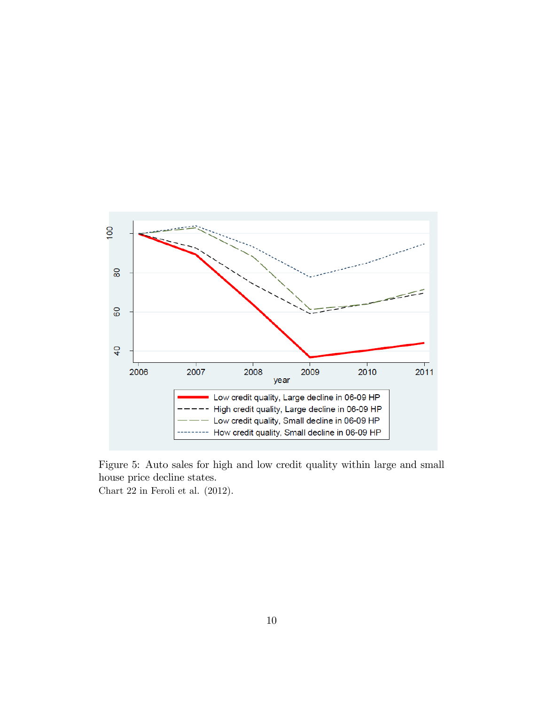

Figure 5: Auto sales for high and low credit quality within large and small house price decline states.

Chart 22 in Feroli et al. (2012).